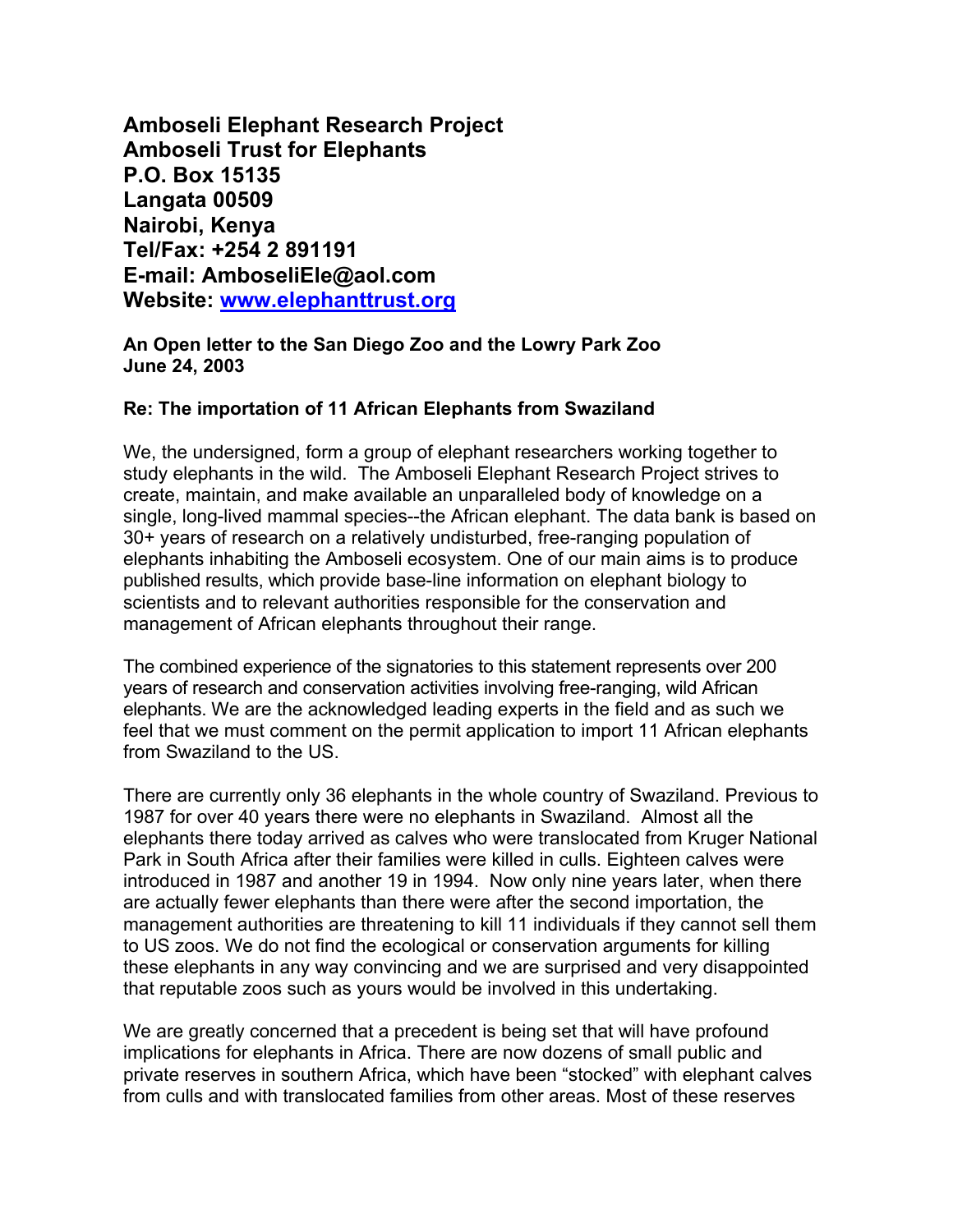**Amboseli Elephant Research Project Amboseli Trust for Elephants P.O. Box 15135 Langata 00509 Nairobi, Kenya Tel/Fax: +254 2 891191 E-mail: AmboseliEle@aol.com Website: [www.elephanttrust.org](http://www.elephanttrust.org/)**

**An Open letter to the San Diego Zoo and the Lowry Park Zoo June 24, 2003**

## **Re: The importation of 11 African Elephants from Swaziland**

We, the undersigned, form a group of elephant researchers working together to study elephants in the wild. The Amboseli Elephant Research Project strives to create, maintain, and make available an unparalleled body of knowledge on a single, long-lived mammal species--the African elephant. The data bank is based on 30+ years of research on a relatively undisturbed, free-ranging population of elephants inhabiting the Amboseli ecosystem. One of our main aims is to produce published results, which provide base-line information on elephant biology to scientists and to relevant authorities responsible for the conservation and management of African elephants throughout their range.

The combined experience of the signatories to this statement represents over 200 years of research and conservation activities involving free-ranging, wild African elephants. We are the acknowledged leading experts in the field and as such we feel that we must comment on the permit application to import 11 African elephants from Swaziland to the US.

There are currently only 36 elephants in the whole country of Swaziland. Previous to 1987 for over 40 years there were no elephants in Swaziland. Almost all the elephants there today arrived as calves who were translocated from Kruger National Park in South Africa after their families were killed in culls. Eighteen calves were introduced in 1987 and another 19 in 1994. Now only nine years later, when there are actually fewer elephants than there were after the second importation, the management authorities are threatening to kill 11 individuals if they cannot sell them to US zoos. We do not find the ecological or conservation arguments for killing these elephants in any way convincing and we are surprised and very disappointed that reputable zoos such as yours would be involved in this undertaking.

We are greatly concerned that a precedent is being set that will have profound implications for elephants in Africa. There are now dozens of small public and private reserves in southern Africa, which have been "stocked" with elephant calves from culls and with translocated families from other areas. Most of these reserves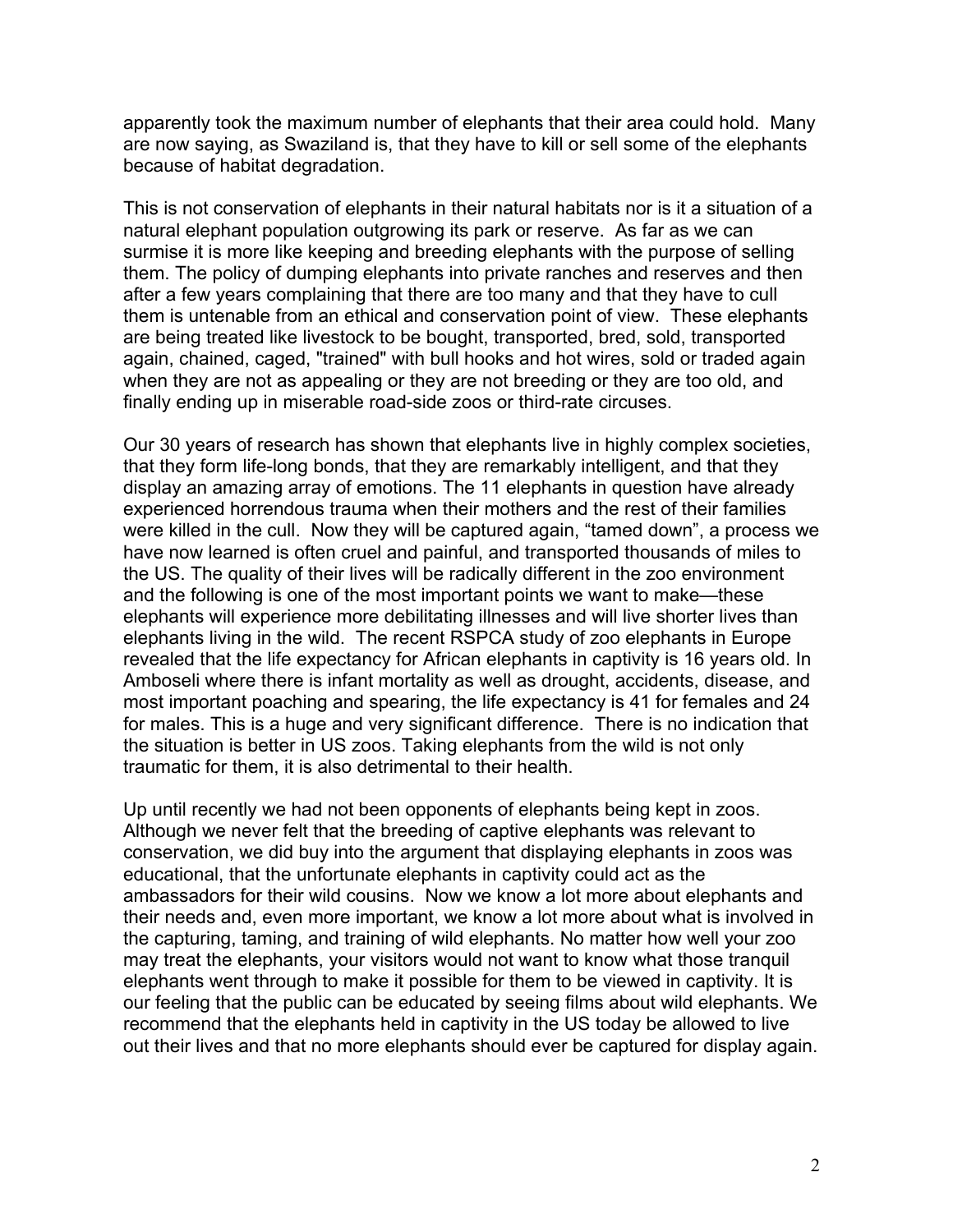apparently took the maximum number of elephants that their area could hold. Many are now saying, as Swaziland is, that they have to kill or sell some of the elephants because of habitat degradation.

This is not conservation of elephants in their natural habitats nor is it a situation of a natural elephant population outgrowing its park or reserve. As far as we can surmise it is more like keeping and breeding elephants with the purpose of selling them. The policy of dumping elephants into private ranches and reserves and then after a few years complaining that there are too many and that they have to cull them is untenable from an ethical and conservation point of view. These elephants are being treated like livestock to be bought, transported, bred, sold, transported again, chained, caged, "trained" with bull hooks and hot wires, sold or traded again when they are not as appealing or they are not breeding or they are too old, and finally ending up in miserable road-side zoos or third-rate circuses.

Our 30 years of research has shown that elephants live in highly complex societies, that they form life-long bonds, that they are remarkably intelligent, and that they display an amazing array of emotions. The 11 elephants in question have already experienced horrendous trauma when their mothers and the rest of their families were killed in the cull. Now they will be captured again, "tamed down", a process we have now learned is often cruel and painful, and transported thousands of miles to the US. The quality of their lives will be radically different in the zoo environment and the following is one of the most important points we want to make—these elephants will experience more debilitating illnesses and will live shorter lives than elephants living in the wild. The recent RSPCA study of zoo elephants in Europe revealed that the life expectancy for African elephants in captivity is 16 years old. In Amboseli where there is infant mortality as well as drought, accidents, disease, and most important poaching and spearing, the life expectancy is 41 for females and 24 for males. This is a huge and very significant difference. There is no indication that the situation is better in US zoos. Taking elephants from the wild is not only traumatic for them, it is also detrimental to their health.

Up until recently we had not been opponents of elephants being kept in zoos. Although we never felt that the breeding of captive elephants was relevant to conservation, we did buy into the argument that displaying elephants in zoos was educational, that the unfortunate elephants in captivity could act as the ambassadors for their wild cousins. Now we know a lot more about elephants and their needs and, even more important, we know a lot more about what is involved in the capturing, taming, and training of wild elephants. No matter how well your zoo may treat the elephants, your visitors would not want to know what those tranquil elephants went through to make it possible for them to be viewed in captivity. It is our feeling that the public can be educated by seeing films about wild elephants. We recommend that the elephants held in captivity in the US today be allowed to live out their lives and that no more elephants should ever be captured for display again.